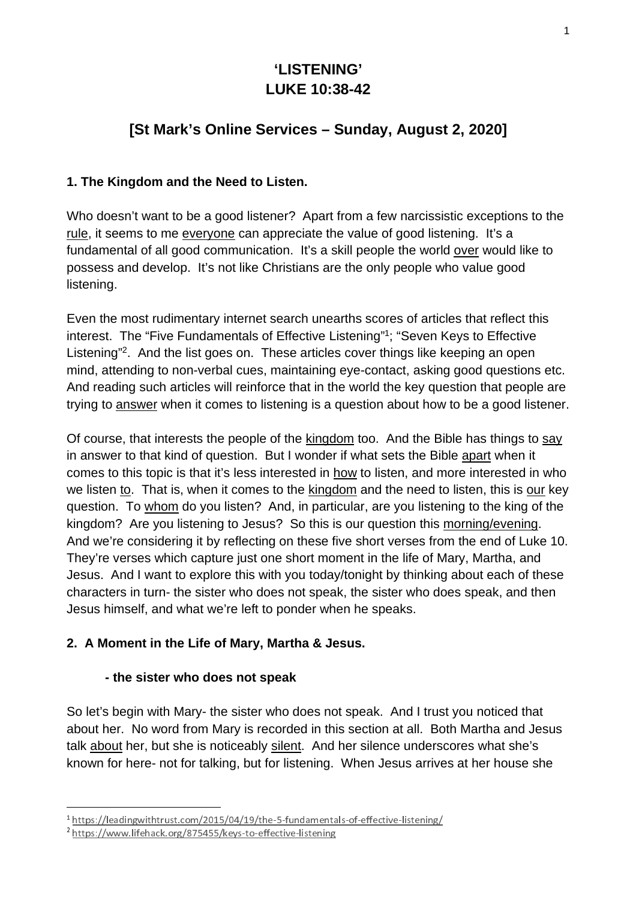# **'LISTENING' LUKE 10:38-42**

## **[St Mark's Online Services – Sunday, August 2, 2020]**

## **1. The Kingdom and the Need to Listen.**

Who doesn't want to be a good listener? Apart from a few narcissistic exceptions to the rule, it seems to me everyone can appreciate the value of good listening. It's a fundamental of all good communication. It's a skill people the world over would like to possess and develop. It's not like Christians are the only people who value good listening.

Even the most rudimentary internet search unearths scores of articles that reflect this interest. The "Five Fundamentals of Effective Listening"1; "Seven Keys to Effective Listening"<sup>2</sup>. And the list goes on. These articles cover things like keeping an open mind, attending to non-verbal cues, maintaining eye-contact, asking good questions etc. And reading such articles will reinforce that in the world the key question that people are trying to answer when it comes to listening is a question about how to be a good listener.

Of course, that interests the people of the kingdom too. And the Bible has things to say in answer to that kind of question. But I wonder if what sets the Bible apart when it comes to this topic is that it's less interested in how to listen, and more interested in who we listen to. That is, when it comes to the kingdom and the need to listen, this is our key question. To whom do you listen? And, in particular, are you listening to the king of the kingdom? Are you listening to Jesus? So this is our question this morning/evening. And we're considering it by reflecting on these five short verses from the end of Luke 10. They're verses which capture just one short moment in the life of Mary, Martha, and Jesus. And I want to explore this with you today/tonight by thinking about each of these characters in turn- the sister who does not speak, the sister who does speak, and then Jesus himself, and what we're left to ponder when he speaks.

## **2. A Moment in the Life of Mary, Martha & Jesus.**

### **- the sister who does not speak**

So let's begin with Mary- the sister who does not speak. And I trust you noticed that about her. No word from Mary is recorded in this section at all. Both Martha and Jesus talk about her, but she is noticeably silent. And her silence underscores what she's known for here- not for talking, but for listening. When Jesus arrives at her house she

 <sup>1</sup> <sup>1</sup> https://leadingwithtrust.com/2015/04/19/the-5-fundamentals-of-effective-listening/<br><sup>2</sup> https://www.lifehack.org/875455/keys-to-effective-listening<br>

https://www.lifehack.org/875455/keys-to-effective-listening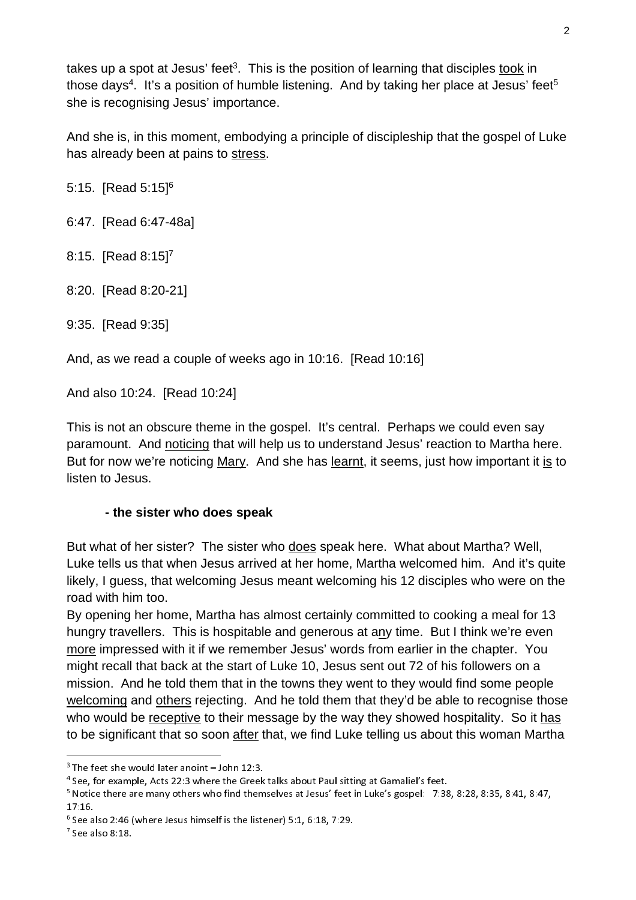takes up a spot at Jesus' feet<sup>3</sup>. This is the position of learning that disciples took in those days<sup>4</sup>. It's a position of humble listening. And by taking her place at Jesus' feet<sup>5</sup> she is recognising Jesus' importance.

And she is, in this moment, embodying a principle of discipleship that the gospel of Luke has already been at pains to stress.

5:15. [Read 5:15]6

6:47. [Read 6:47-48a]

8:15. [Read 8:15]7

8:20. [Read 8:20-21]

9:35. [Read 9:35]

And, as we read a couple of weeks ago in 10:16. [Read 10:16]

And also 10:24. [Read 10:24]

This is not an obscure theme in the gospel. It's central. Perhaps we could even say paramount. And noticing that will help us to understand Jesus' reaction to Martha here. But for now we're noticing Mary. And she has learnt, it seems, just how important it is to listen to Jesus.

### **- the sister who does speak**

But what of her sister? The sister who does speak here. What about Martha? Well, Luke tells us that when Jesus arrived at her home, Martha welcomed him. And it's quite likely, I guess, that welcoming Jesus meant welcoming his 12 disciples who were on the road with him too.

By opening her home, Martha has almost certainly committed to cooking a meal for 13 hungry travellers. This is hospitable and generous at any time. But I think we're even more impressed with it if we remember Jesus' words from earlier in the chapter. You might recall that back at the start of Luke 10, Jesus sent out 72 of his followers on a mission. And he told them that in the towns they went to they would find some people welcoming and others rejecting. And he told them that they'd be able to recognise those who would be receptive to their message by the way they showed hospitality. So it has to be significant that so soon after that, we find Luke telling us about this woman Martha

 $3$  The feet she would later anoint  $-$  John 12:3.<br> $4$  See, for example, Acts 22:3 where the Greek talks about Paul sitting at Gamaliel's feet.

<sup>&</sup>lt;sup>3</sup> The feet she would later anoint – John 12:3.<br><sup>4</sup> See, for example, Acts 22:3 where the Greek<br><sup>5</sup> Notice there are many others who find them<br>17:16. <sup>4</sup> See, for example, Acts 22:3 where the Greek talks about Paul sitting at Gamaliel's feet.<br><sup>5</sup> Notice there are many others who find themselves at Jesus' feet in Luke's gospel: 7:38, 8:28, 8:35, 8:41, 8:47,<br>17.1*6* 17:16.<br><sup>6</sup> See a

<sup>&</sup>lt;sup>6</sup> See also 2:46 (where Jesus himself is the listener) 5:1, 6:18, 7:29.<br><sup>7</sup> See also 8:18.

 $<sup>7</sup>$  See also 8:18.</sup>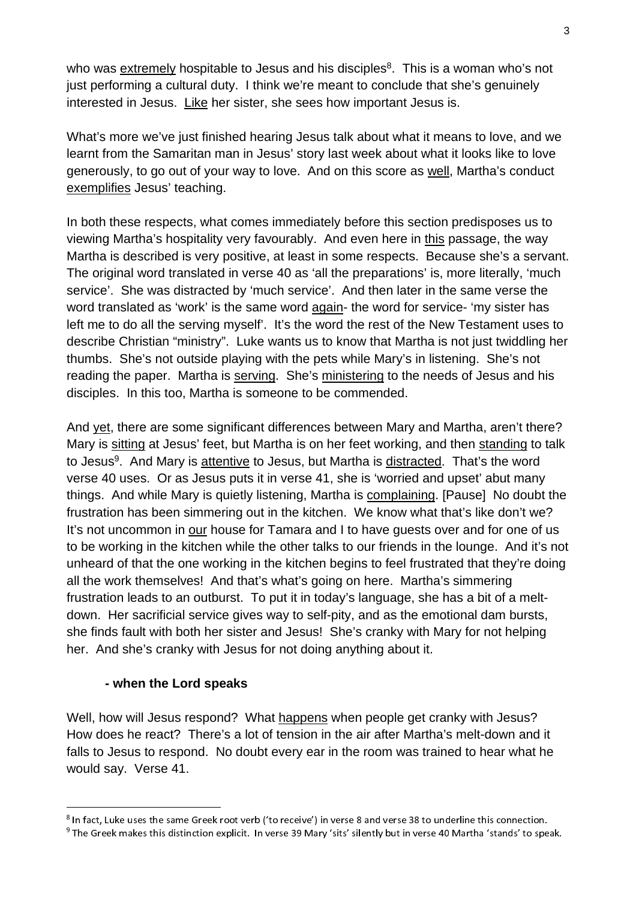who was extremely hospitable to Jesus and his disciples<sup>8</sup>. This is a woman who's not just performing a cultural duty. I think we're meant to conclude that she's genuinely interested in Jesus. Like her sister, she sees how important Jesus is.

What's more we've just finished hearing Jesus talk about what it means to love, and we learnt from the Samaritan man in Jesus' story last week about what it looks like to love generously, to go out of your way to love. And on this score as well, Martha's conduct exemplifies Jesus' teaching.

In both these respects, what comes immediately before this section predisposes us to viewing Martha's hospitality very favourably. And even here in this passage, the way Martha is described is very positive, at least in some respects. Because she's a servant. The original word translated in verse 40 as 'all the preparations' is, more literally, 'much service'. She was distracted by 'much service'. And then later in the same verse the word translated as 'work' is the same word again- the word for service- 'my sister has left me to do all the serving myself'. It's the word the rest of the New Testament uses to describe Christian "ministry". Luke wants us to know that Martha is not just twiddling her thumbs. She's not outside playing with the pets while Mary's in listening. She's not reading the paper. Martha is serving. She's ministering to the needs of Jesus and his disciples. In this too, Martha is someone to be commended.

And vet, there are some significant differences between Mary and Martha, aren't there? Mary is sitting at Jesus' feet, but Martha is on her feet working, and then standing to talk to Jesus<sup>9</sup>. And Mary is attentive to Jesus, but Martha is distracted. That's the word verse 40 uses. Or as Jesus puts it in verse 41, she is 'worried and upset' abut many things. And while Mary is quietly listening, Martha is complaining. [Pause] No doubt the frustration has been simmering out in the kitchen. We know what that's like don't we? It's not uncommon in our house for Tamara and I to have guests over and for one of us to be working in the kitchen while the other talks to our friends in the lounge. And it's not unheard of that the one working in the kitchen begins to feel frustrated that they're doing all the work themselves! And that's what's going on here. Martha's simmering frustration leads to an outburst. To put it in today's language, she has a bit of a meltdown. Her sacrificial service gives way to self-pity, and as the emotional dam bursts, she finds fault with both her sister and Jesus! She's cranky with Mary for not helping her. And she's cranky with Jesus for not doing anything about it.

#### **- when the Lord speaks**

Well, how will Jesus respond? What happens when people get cranky with Jesus? How does he react? There's a lot of tension in the air after Martha's melt-down and it falls to Jesus to respond. No doubt every ear in the room was trained to hear what he would say. Verse 41.

<sup>&</sup>lt;sup>8</sup> In fact, Luke uses the same Greek root verb ('to receive') in verse 8 and verse 38 to underline this connection. <sup>8</sup> In fact, Luke uses the same Greek root verb ('to receive') in verse 8 and verse 38 to underline this connection.<br><sup>9</sup> The Greek makes this distinction explicit. In verse 39 Mary 'sits' silently but in verse 40 Martha '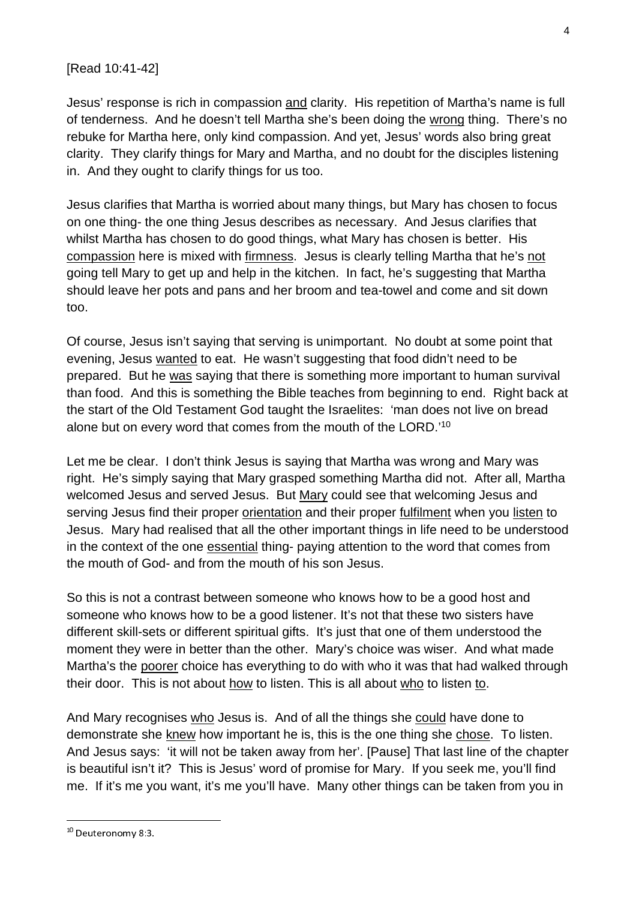### [Read 10:41-42]

Jesus' response is rich in compassion and clarity. His repetition of Martha's name is full of tenderness. And he doesn't tell Martha she's been doing the wrong thing. There's no rebuke for Martha here, only kind compassion. And yet, Jesus' words also bring great clarity. They clarify things for Mary and Martha, and no doubt for the disciples listening in. And they ought to clarify things for us too.

Jesus clarifies that Martha is worried about many things, but Mary has chosen to focus on one thing- the one thing Jesus describes as necessary. And Jesus clarifies that whilst Martha has chosen to do good things, what Mary has chosen is better. His compassion here is mixed with firmness. Jesus is clearly telling Martha that he's not going tell Mary to get up and help in the kitchen. In fact, he's suggesting that Martha should leave her pots and pans and her broom and tea-towel and come and sit down too.

Of course, Jesus isn't saying that serving is unimportant. No doubt at some point that evening, Jesus wanted to eat. He wasn't suggesting that food didn't need to be prepared. But he was saying that there is something more important to human survival than food. And this is something the Bible teaches from beginning to end. Right back at the start of the Old Testament God taught the Israelites: 'man does not live on bread alone but on every word that comes from the mouth of the LORD.'10

Let me be clear. I don't think Jesus is saying that Martha was wrong and Mary was right. He's simply saying that Mary grasped something Martha did not. After all, Martha welcomed Jesus and served Jesus. But Mary could see that welcoming Jesus and serving Jesus find their proper orientation and their proper fulfilment when you listen to Jesus. Mary had realised that all the other important things in life need to be understood in the context of the one essential thing- paying attention to the word that comes from the mouth of God- and from the mouth of his son Jesus.

So this is not a contrast between someone who knows how to be a good host and someone who knows how to be a good listener. It's not that these two sisters have different skill-sets or different spiritual gifts. It's just that one of them understood the moment they were in better than the other. Mary's choice was wiser. And what made Martha's the poorer choice has everything to do with who it was that had walked through their door. This is not about how to listen. This is all about who to listen to.

And Mary recognises who Jesus is. And of all the things she could have done to demonstrate she knew how important he is, this is the one thing she chose. To listen. And Jesus says: 'it will not be taken away from her'. [Pause] That last line of the chapter is beautiful isn't it? This is Jesus' word of promise for Mary. If you seek me, you'll find me. If it's me you want, it's me you'll have. Many other things can be taken from you in

 <sup>10</sup> Deuteronomy 8:3.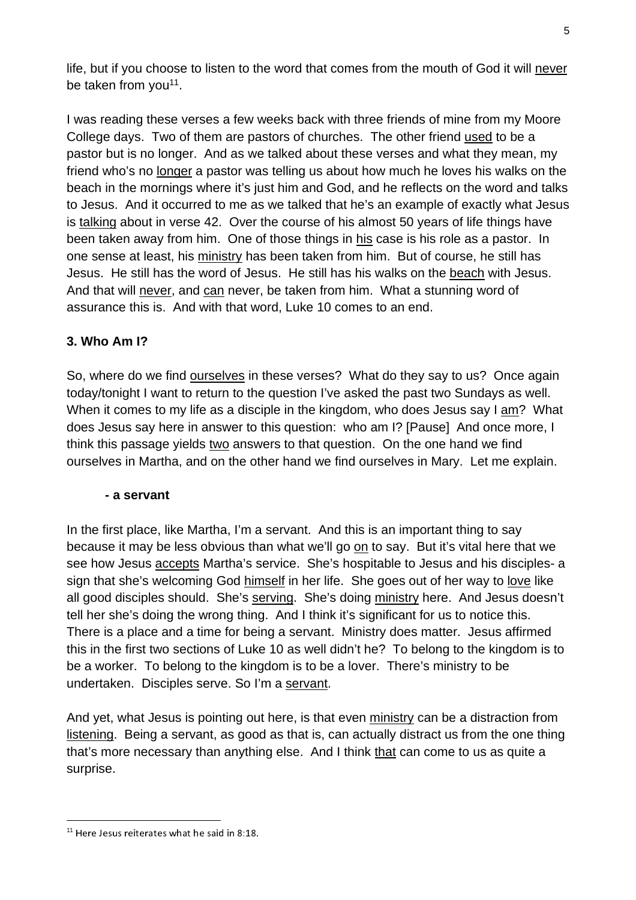life, but if you choose to listen to the word that comes from the mouth of God it will never be taken from you<sup>11</sup>.

I was reading these verses a few weeks back with three friends of mine from my Moore College days. Two of them are pastors of churches. The other friend used to be a pastor but is no longer. And as we talked about these verses and what they mean, my friend who's no longer a pastor was telling us about how much he loves his walks on the beach in the mornings where it's just him and God, and he reflects on the word and talks to Jesus. And it occurred to me as we talked that he's an example of exactly what Jesus is talking about in verse 42. Over the course of his almost 50 years of life things have been taken away from him. One of those things in his case is his role as a pastor. In one sense at least, his ministry has been taken from him. But of course, he still has Jesus. He still has the word of Jesus. He still has his walks on the beach with Jesus. And that will never, and can never, be taken from him. What a stunning word of assurance this is. And with that word, Luke 10 comes to an end.

## **3. Who Am I?**

So, where do we find ourselves in these verses? What do they say to us? Once again today/tonight I want to return to the question I've asked the past two Sundays as well. When it comes to my life as a disciple in the kingdom, who does Jesus say I am? What does Jesus say here in answer to this question: who am I? [Pause] And once more, I think this passage yields two answers to that question. On the one hand we find ourselves in Martha, and on the other hand we find ourselves in Mary. Let me explain.

#### **- a servant**

In the first place, like Martha, I'm a servant. And this is an important thing to say because it may be less obvious than what we'll go on to say. But it's vital here that we see how Jesus accepts Martha's service. She's hospitable to Jesus and his disciples- a sign that she's welcoming God himself in her life. She goes out of her way to love like all good disciples should. She's serving. She's doing ministry here. And Jesus doesn't tell her she's doing the wrong thing. And I think it's significant for us to notice this. There is a place and a time for being a servant. Ministry does matter. Jesus affirmed this in the first two sections of Luke 10 as well didn't he? To belong to the kingdom is to be a worker. To belong to the kingdom is to be a lover. There's ministry to be undertaken. Disciples serve. So I'm a servant.

And yet, what Jesus is pointing out here, is that even ministry can be a distraction from listening. Being a servant, as good as that is, can actually distract us from the one thing that's more necessary than anything else. And I think that can come to us as quite a surprise.

 $11$  Here Jesus reiterates what he said in 8:18.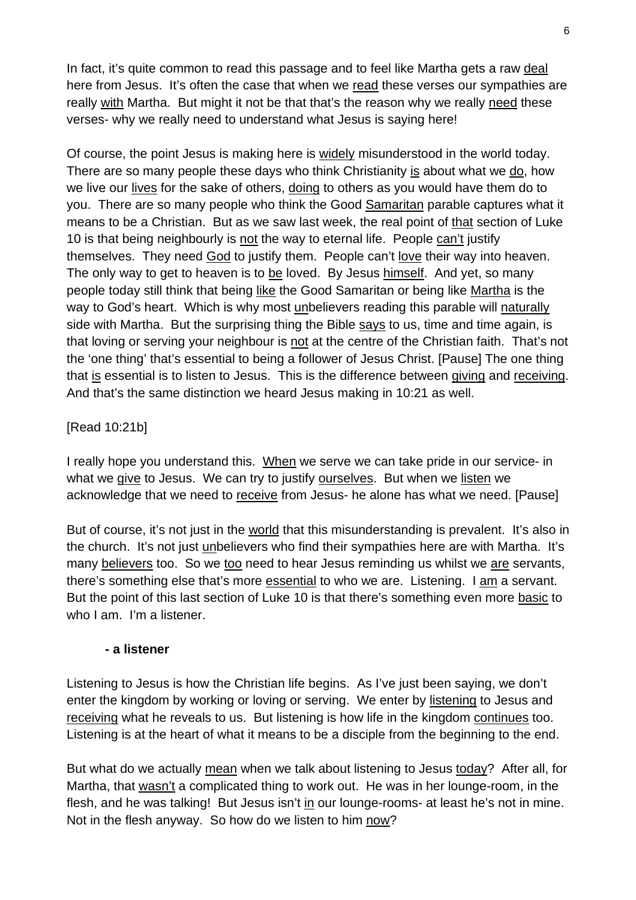In fact, it's quite common to read this passage and to feel like Martha gets a raw deal here from Jesus. It's often the case that when we read these verses our sympathies are really with Martha. But might it not be that that's the reason why we really need these verses- why we really need to understand what Jesus is saying here!

Of course, the point Jesus is making here is widely misunderstood in the world today. There are so many people these days who think Christianity is about what we do, how we live our lives for the sake of others, doing to others as you would have them do to you. There are so many people who think the Good Samaritan parable captures what it means to be a Christian. But as we saw last week, the real point of that section of Luke 10 is that being neighbourly is not the way to eternal life. People can't justify themselves. They need God to justify them. People can't love their way into heaven. The only way to get to heaven is to be loved. By Jesus himself. And yet, so many people today still think that being like the Good Samaritan or being like Martha is the way to God's heart. Which is why most unbelievers reading this parable will naturally side with Martha. But the surprising thing the Bible says to us, time and time again, is that loving or serving your neighbour is not at the centre of the Christian faith. That's not the 'one thing' that's essential to being a follower of Jesus Christ. [Pause] The one thing that is essential is to listen to Jesus. This is the difference between giving and receiving. And that's the same distinction we heard Jesus making in 10:21 as well.

### [Read 10:21b]

I really hope you understand this. When we serve we can take pride in our service- in what we give to Jesus. We can try to justify ourselves. But when we listen we acknowledge that we need to receive from Jesus- he alone has what we need. [Pause]

But of course, it's not just in the world that this misunderstanding is prevalent. It's also in the church. It's not just unbelievers who find their sympathies here are with Martha. It's many believers too. So we too need to hear Jesus reminding us whilst we are servants, there's something else that's more essential to who we are. Listening. I am a servant. But the point of this last section of Luke 10 is that there's something even more basic to who I am. I'm a listener.

### **- a listener**

Listening to Jesus is how the Christian life begins. As I've just been saying, we don't enter the kingdom by working or loving or serving. We enter by listening to Jesus and receiving what he reveals to us. But listening is how life in the kingdom continues too. Listening is at the heart of what it means to be a disciple from the beginning to the end.

But what do we actually mean when we talk about listening to Jesus today? After all, for Martha, that wasn't a complicated thing to work out. He was in her lounge-room, in the flesh, and he was talking! But Jesus isn't in our lounge-rooms- at least he's not in mine. Not in the flesh anyway. So how do we listen to him now?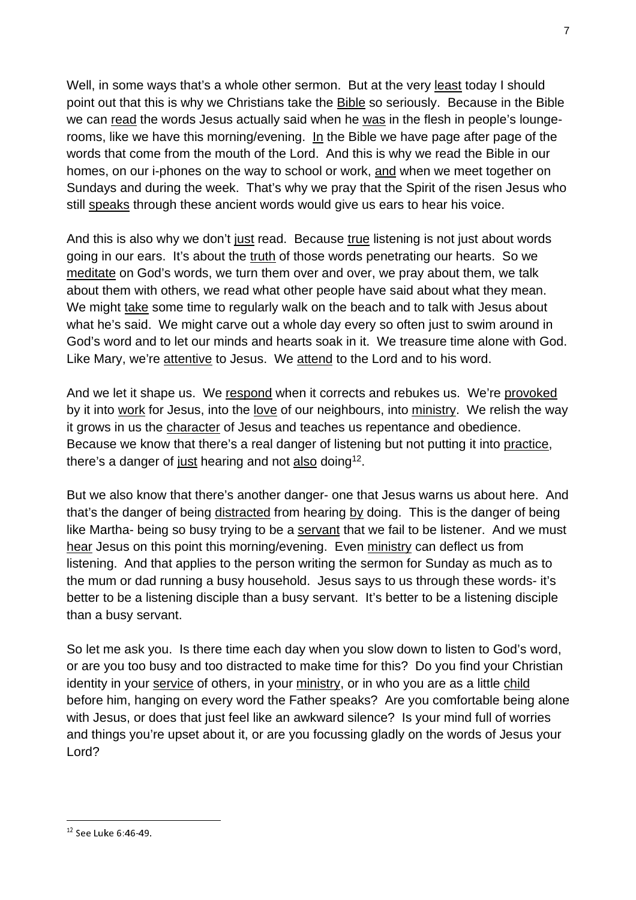Well, in some ways that's a whole other sermon. But at the very least today I should point out that this is why we Christians take the Bible so seriously. Because in the Bible we can read the words Jesus actually said when he was in the flesh in people's loungerooms, like we have this morning/evening. In the Bible we have page after page of the words that come from the mouth of the Lord. And this is why we read the Bible in our homes, on our i-phones on the way to school or work, and when we meet together on Sundays and during the week. That's why we pray that the Spirit of the risen Jesus who still speaks through these ancient words would give us ears to hear his voice.

And this is also why we don't just read. Because true listening is not just about words going in our ears. It's about the truth of those words penetrating our hearts. So we meditate on God's words, we turn them over and over, we pray about them, we talk about them with others, we read what other people have said about what they mean. We might take some time to regularly walk on the beach and to talk with Jesus about what he's said. We might carve out a whole day every so often just to swim around in God's word and to let our minds and hearts soak in it. We treasure time alone with God. Like Mary, we're attentive to Jesus. We attend to the Lord and to his word.

And we let it shape us. We respond when it corrects and rebukes us. We're provoked by it into work for Jesus, into the love of our neighbours, into ministry. We relish the way it grows in us the character of Jesus and teaches us repentance and obedience. Because we know that there's a real danger of listening but not putting it into practice, there's a danger of just hearing and not also doing<sup>12</sup>.

But we also know that there's another danger- one that Jesus warns us about here. And that's the danger of being distracted from hearing by doing. This is the danger of being like Martha- being so busy trying to be a servant that we fail to be listener. And we must hear Jesus on this point this morning/evening. Even ministry can deflect us from listening. And that applies to the person writing the sermon for Sunday as much as to the mum or dad running a busy household. Jesus says to us through these words- it's better to be a listening disciple than a busy servant. It's better to be a listening disciple than a busy servant.

So let me ask you. Is there time each day when you slow down to listen to God's word, or are you too busy and too distracted to make time for this? Do you find your Christian identity in your service of others, in your ministry, or in who you are as a little child before him, hanging on every word the Father speaks? Are you comfortable being alone with Jesus, or does that just feel like an awkward silence? Is your mind full of worries and things you're upset about it, or are you focussing gladly on the words of Jesus your Lord?

 $\overline{12}$  See Luke 6:46-49. See Luke 6:46-49.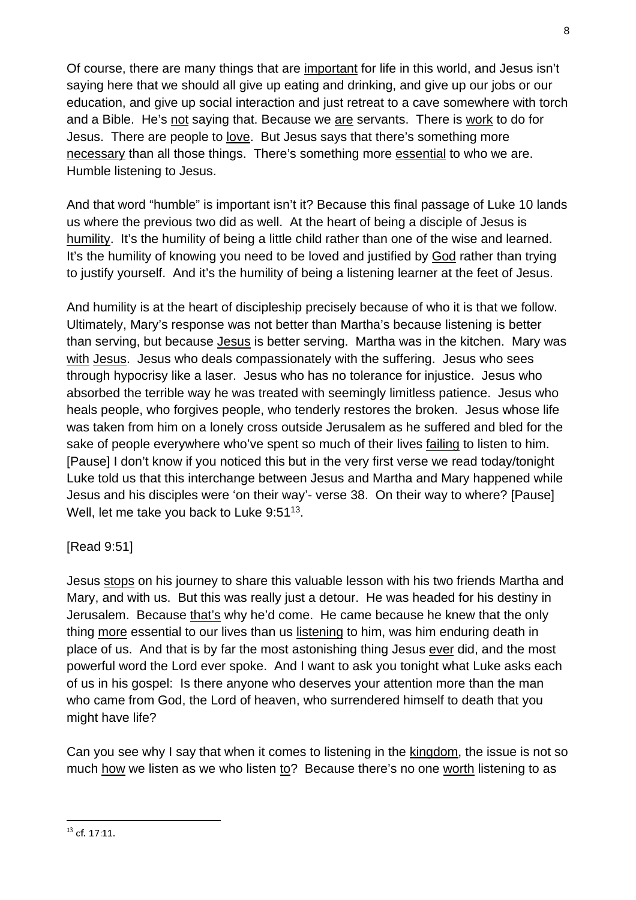Of course, there are many things that are important for life in this world, and Jesus isn't saying here that we should all give up eating and drinking, and give up our jobs or our education, and give up social interaction and just retreat to a cave somewhere with torch and a Bible. He's not saying that. Because we are servants. There is work to do for Jesus. There are people to love. But Jesus says that there's something more necessary than all those things. There's something more essential to who we are. Humble listening to Jesus.

And that word "humble" is important isn't it? Because this final passage of Luke 10 lands us where the previous two did as well. At the heart of being a disciple of Jesus is humility. It's the humility of being a little child rather than one of the wise and learned. It's the humility of knowing you need to be loved and justified by God rather than trying to justify yourself. And it's the humility of being a listening learner at the feet of Jesus.

And humility is at the heart of discipleship precisely because of who it is that we follow. Ultimately, Mary's response was not better than Martha's because listening is better than serving, but because Jesus is better serving. Martha was in the kitchen. Mary was with Jesus. Jesus who deals compassionately with the suffering. Jesus who sees through hypocrisy like a laser. Jesus who has no tolerance for injustice. Jesus who absorbed the terrible way he was treated with seemingly limitless patience. Jesus who heals people, who forgives people, who tenderly restores the broken. Jesus whose life was taken from him on a lonely cross outside Jerusalem as he suffered and bled for the sake of people everywhere who've spent so much of their lives failing to listen to him. [Pause] I don't know if you noticed this but in the very first verse we read today/tonight Luke told us that this interchange between Jesus and Martha and Mary happened while Jesus and his disciples were 'on their way'- verse 38. On their way to where? [Pause] Well, let me take you back to Luke 9:51<sup>13</sup>.

## [Read 9:51]

Jesus stops on his journey to share this valuable lesson with his two friends Martha and Mary, and with us. But this was really just a detour. He was headed for his destiny in Jerusalem. Because that's why he'd come. He came because he knew that the only thing more essential to our lives than us listening to him, was him enduring death in place of us. And that is by far the most astonishing thing Jesus ever did, and the most powerful word the Lord ever spoke. And I want to ask you tonight what Luke asks each of us in his gospel: Is there anyone who deserves your attention more than the man who came from God, the Lord of heaven, who surrendered himself to death that you might have life?

Can you see why I say that when it comes to listening in the kingdom, the issue is not so much how we listen as we who listen to? Because there's no one worth listening to as

<sup>13</sup> cf. 17:11.